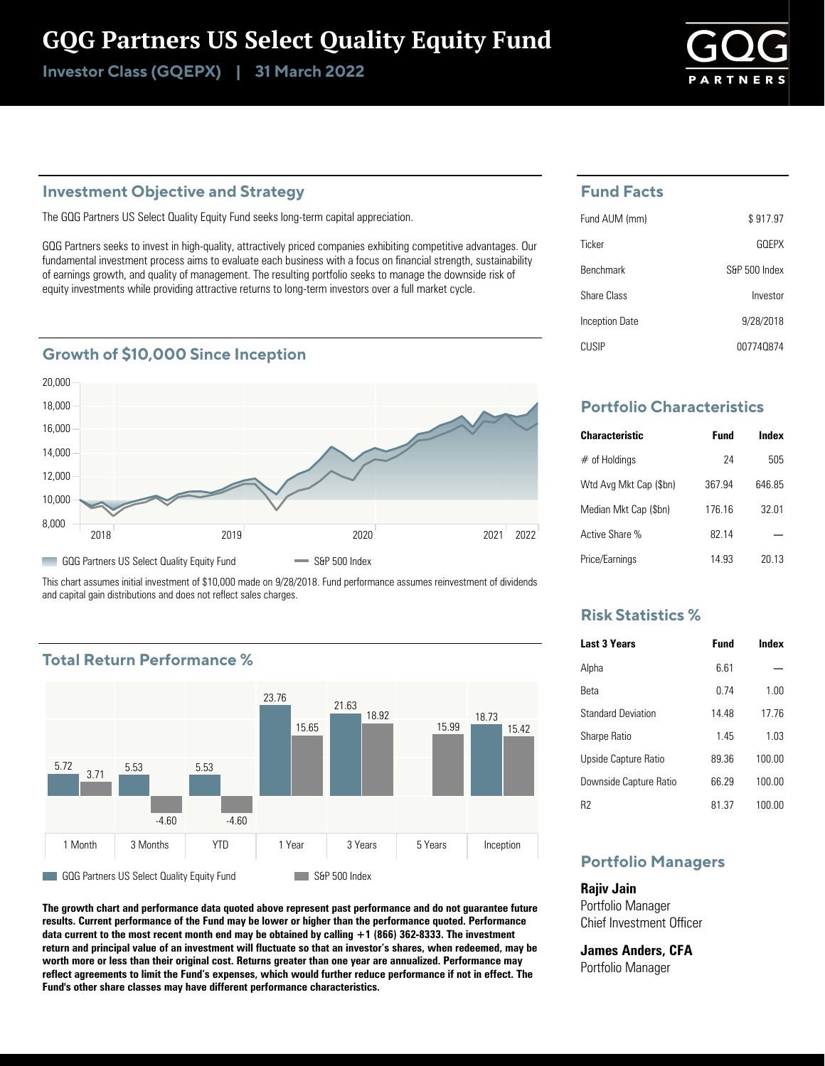# GQG Partners US Select Quality Equity Fund

Investor Class (GQEPX) | 31 March 2022



### **Investment Objective and Strategy**

The GQG Partners US Select Quality Equity Fund seeks long-term capital appreciation.

GQG Partners seeks to invest in high-quality, attractively priced companies exhibiting competitive advantages. Our fundamental investment process aims to evaluate each business with a focus on financial strength, sustainability of earnings growth, and quality of management. The resulting portfolio seeks to manage the downside risk of equity investments while providing attractive returns to long-term investors over a full market cycle.

### **Growth of \$10,000 Since Inception**



This chart assumes initial investment of \$10,000 made on 9/28/2018. Fund performance assumes reinvestment of dividends and capital gain distributions and does not reflect sales charges.

# **Total Return Performance %**



**The growth chart and performance data quoted above represent past performance and do not guarantee future results. Current performance of the Fund may be lower or higher than the performance quoted. Performance data current to the most recent month end may be obtained by calling +1 (866) 362-8333. The investment return and principal value of an investment will fluctuate so that an investor's shares, when redeemed, may be worth more or less than their original cost. Returns greater than one year are annualized. Performance may reflect agreements to limit the Fund's expenses, which would further reduce performance if not in effect. The Fund's other share classes may have different performance characteristics.**

### **Fund Facts**

| Fund AUM (mm)    | \$917.97      |
|------------------|---------------|
| Ticker           | GOFPX         |
| <b>Benchmark</b> | S&P 500 Index |
| Share Class      | Investor      |
| Inception Date   | 9/28/2018     |
| CUSIP            | 007740874     |

# **Portfolio Characteristics**

| <b>Characteristic</b>  | <b>Fund</b> | Index  |
|------------------------|-------------|--------|
| $#$ of Holdings        | 24          | 505    |
| Wtd Avg Mkt Cap (\$bn) | 367.94      | 646.85 |
| Median Mkt Cap (\$bn)  | 176 16      | 32 01  |
| Active Share %         | 82 14       |        |
| Price/Earnings         | 14 93       | 20 13  |

## **Risk Statistics %**

| <b>Last 3 Years</b>       | Fund  | Index  |
|---------------------------|-------|--------|
| Alpha                     | 6.61  |        |
| Reta                      | 0 74  | 1.00   |
| <b>Standard Deviation</b> | 14 48 | 1776   |
| <b>Sharpe Ratio</b>       | 145   | 103    |
| Upside Capture Ratio      | 8936  | 100.00 |
| Downside Capture Ratio    | 66 29 | 100.00 |
| R2                        | 81 37 | 100.00 |

# **Portfolio Managers**

**Rajiv Jain** Portfolio Manager Chief Investment Officer

**James Anders, CFA** Portfolio Manager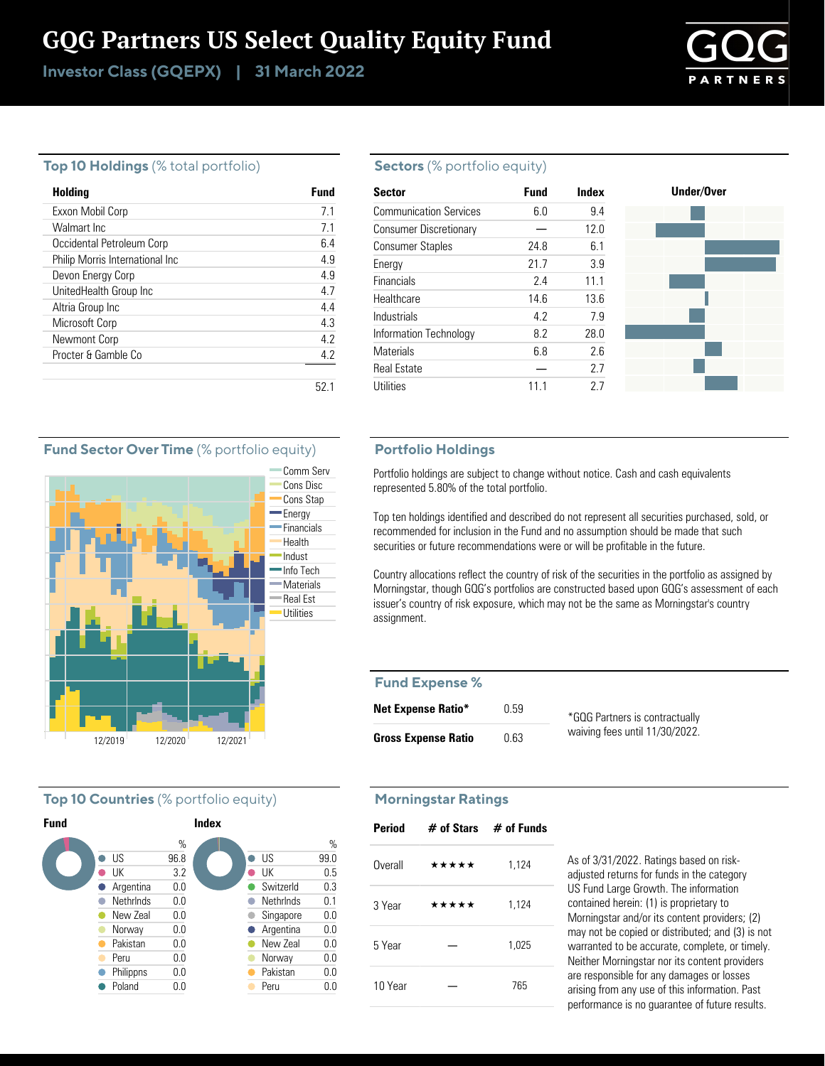# GQG Partners US Select Quality Equity Fund

Investor Class (GQEPX) | 31 March 2022



#### **Top 10 Holdings** (% total portfolio)

| Holding                         | Fund |
|---------------------------------|------|
| Exxon Mobil Corp                | 71   |
| Walmart Inc                     | 7.1  |
| Occidental Petroleum Corp       | 6.4  |
| Philip Morris International Inc | 49   |
| Devon Energy Corp               | 4.9  |
| UnitedHealth Group Inc          | 47   |
| Altria Group Inc                | 4.4  |
| Microsoft Corp                  | 43   |
| Newmont Corp                    | 42   |
| Procter & Gamble Co.            | 4.2  |
|                                 |      |
|                                 | 52.  |

#### **Sectors** (% portfolio equity)

| <b>Sector</b>                 | <b>Fund</b> | Index |
|-------------------------------|-------------|-------|
| <b>Communication Services</b> | 6.0         | 9.4   |
| <b>Consumer Discretionary</b> |             | 12.0  |
| <b>Consumer Staples</b>       | 24.8        | 6.1   |
| Energy                        | 21.7        | 3.9   |
| Financials                    | 2.4         | 11.1  |
| Healthcare                    | 14.6        | 13.6  |
| Industrials                   | 4.2         | 7.9   |
| Information Technology        | 8.2         | 28.0  |
| <b>Materials</b>              | 6.8         | 2.6   |
| <b>Real Estate</b>            |             | 2.7   |
| Utilities                     | 11.1        | 2.7   |

#### **Portfolio Holdings**

Portfolio holdings are subject to change without notice. Cash and cash equivalents represented 5.80% of the total portfolio.

Top ten holdings identified and described do not represent all securities purchased, sold, or recommended for inclusion in the Fund and no assumption should be made that such securities or future recommendations were or will be profitable in the future.

Country allocations reflect the country of risk of the securities in the portfolio as assigned by Morningstar, though GQG's portfolios are constructed based upon GQG's assessment of each issuer's country of risk exposure, which may not be the same as Morningstar's country assignment.

#### **Fund Expense %**

| <b>Net Expense Ratio*</b>  | 0.59 | *GOG Partners is contractually |
|----------------------------|------|--------------------------------|
| <b>Gross Expense Ratio</b> | 0.63 | waiving fees until 11/30/2022. |

#### **Morningstar Ratings**

| <b>Period</b> |       | $#$ of Stars $#$ of Funds |
|---------------|-------|---------------------------|
| Overall       | ***** | 1,124                     |
| 3 Year        | ***** | 1,124                     |
| 5 Year        |       | 1,025                     |
| 10 Year       |       | 765                       |

As of 3/31/2022. Ratings based on riskadjusted returns for funds in the category US Fund Large Growth. The information contained herein: (1) is proprietary to Morningstar and/or its content providers; (2) may not be copied or distributed; and (3) is not warranted to be accurate, complete, or timely. Neither Morningstar nor its content providers are responsible for any damages or losses arising from any use of this information. Past performance is no guarantee of future results.

#### **Fund Sector Over Time** (% portfolio equity)



#### **Top 10 Countries** (% portfolio equity)